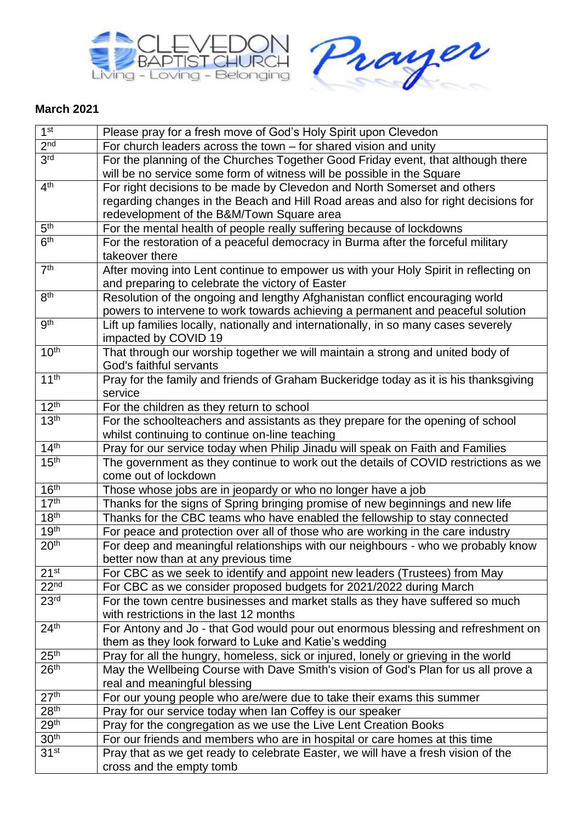



## **March 2021**

| 1 <sup>st</sup>  | Please pray for a fresh move of God's Holy Spirit upon Clevedon                                                                                      |
|------------------|------------------------------------------------------------------------------------------------------------------------------------------------------|
| 2 <sub>nd</sub>  | For church leaders across the town $-$ for shared vision and unity                                                                                   |
| 3 <sup>rd</sup>  | For the planning of the Churches Together Good Friday event, that although there                                                                     |
|                  | will be no service some form of witness will be possible in the Square                                                                               |
| 4 <sup>th</sup>  | For right decisions to be made by Clevedon and North Somerset and others                                                                             |
|                  | regarding changes in the Beach and Hill Road areas and also for right decisions for                                                                  |
|                  | redevelopment of the B&M/Town Square area                                                                                                            |
| 5 <sup>th</sup>  | For the mental health of people really suffering because of lockdowns                                                                                |
| 6 <sup>th</sup>  | For the restoration of a peaceful democracy in Burma after the forceful military                                                                     |
|                  | takeover there                                                                                                                                       |
| 7 <sup>th</sup>  | After moving into Lent continue to empower us with your Holy Spirit in reflecting on                                                                 |
| 8 <sup>th</sup>  | and preparing to celebrate the victory of Easter                                                                                                     |
|                  | Resolution of the ongoing and lengthy Afghanistan conflict encouraging world                                                                         |
| 9 <sup>th</sup>  | powers to intervene to work towards achieving a permanent and peaceful solution                                                                      |
|                  | Lift up families locally, nationally and internationally, in so many cases severely<br>impacted by COVID 19                                          |
| 10 <sup>th</sup> | That through our worship together we will maintain a strong and united body of                                                                       |
|                  | God's faithful servants                                                                                                                              |
| 11 <sup>th</sup> | Pray for the family and friends of Graham Buckeridge today as it is his thanksgiving                                                                 |
|                  | service                                                                                                                                              |
| 12 <sup>th</sup> | For the children as they return to school                                                                                                            |
| 13 <sup>th</sup> | For the schoolteachers and assistants as they prepare for the opening of school                                                                      |
|                  | whilst continuing to continue on-line teaching                                                                                                       |
| 14 <sup>th</sup> | Pray for our service today when Philip Jinadu will speak on Faith and Families                                                                       |
| 15 <sup>th</sup> | The government as they continue to work out the details of COVID restrictions as we                                                                  |
|                  | come out of lockdown                                                                                                                                 |
| 16 <sup>th</sup> | Those whose jobs are in jeopardy or who no longer have a job                                                                                         |
| 17 <sup>th</sup> | Thanks for the signs of Spring bringing promise of new beginnings and new life                                                                       |
| 18 <sup>th</sup> | Thanks for the CBC teams who have enabled the fellowship to stay connected                                                                           |
| 19 <sup>th</sup> | For peace and protection over all of those who are working in the care industry                                                                      |
| 20 <sup>th</sup> | For deep and meaningful relationships with our neighbours - who we probably know                                                                     |
| 21 <sup>st</sup> | better now than at any previous time                                                                                                                 |
| 22 <sup>nd</sup> | For CBC as we seek to identify and appoint new leaders (Trustees) from May                                                                           |
| 23 <sup>rd</sup> | For CBC as we consider proposed budgets for 2021/2022 during March<br>For the town centre businesses and market stalls as they have suffered so much |
|                  | with restrictions in the last 12 months                                                                                                              |
| 24 <sup>th</sup> | For Antony and Jo - that God would pour out enormous blessing and refreshment on                                                                     |
|                  | them as they look forward to Luke and Katie's wedding                                                                                                |
| 25 <sup>th</sup> | Pray for all the hungry, homeless, sick or injured, lonely or grieving in the world                                                                  |
| 26 <sup>th</sup> | May the Wellbeing Course with Dave Smith's vision of God's Plan for us all prove a                                                                   |
|                  | real and meaningful blessing                                                                                                                         |
| 27 <sup>th</sup> | For our young people who are/were due to take their exams this summer                                                                                |
| 28 <sup>th</sup> | Pray for our service today when Ian Coffey is our speaker                                                                                            |
| 29 <sup>th</sup> | Pray for the congregation as we use the Live Lent Creation Books                                                                                     |
| 30 <sup>th</sup> | For our friends and members who are in hospital or care homes at this time                                                                           |
| 31 <sup>st</sup> | Pray that as we get ready to celebrate Easter, we will have a fresh vision of the                                                                    |
|                  | cross and the empty tomb                                                                                                                             |